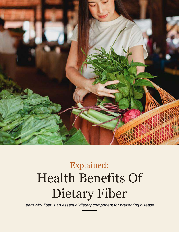

# Explained: Health Benefits Of Dietary Fiber

*Learn why fiber is an essential dietary component for preventing disease.*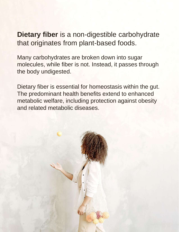**Dietary fiber** is a non-digestible carbohydrate that originates from plant-based foods.

Many carbohydrates are broken down into sugar molecules, while fiber is not. Instead, it passes through the body undigested.

Dietary fiber is essential for homeostasis within the gut. The predominant health benefits extend to enhanced metabolic welfare, including protection against obesity and related metabolic diseases.

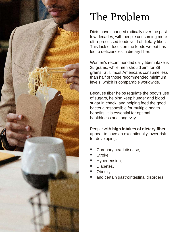

## The Problem

Diets have changed radically over the past few decades, with people consuming more ultra-processed foods void of dietary fiber. This lack of focus on the foods we eat has led to deficiencies in dietary fiber.

Women's recommended daily fiber intake is 25 grams, while men should aim for 38 grams. Still, most Americans consume less than half of those recommended minimum levels, which is comparable worldwide.

Because fiber helps regulate the body's use of sugars, helping keep hunger and blood sugar in check, and helping feed the good bacteria responsible for multiple health benefits, it is essential for optimal healthiness and longevity.

People with **high intakes of dietary fiber**  appear to have an exceptionally lower risk for developing:

- Coronary heart disease,
- Stroke.
- Hypertension,
- Diabetes.
- Obesity,
- and certain gastrointestinal disorders.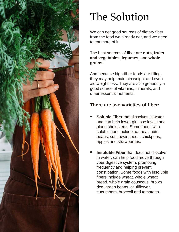

## The Solution

We can get good sources of dietary fiber from the food we already eat, and we need to eat more of it.

The best sources of fiber are **nuts, fruits and vegetables, legumes**, and **whole grains**.

And because high-fiber foods are filling, they may help maintain weight and even aid weight loss. They are also generally a good source of vitamins, minerals, and other essential nutrients.

#### **There are two varieties of fiber:**

- **Soluble Fiber** that dissolves in water and can help lower glucose levels and blood cholesterol. Some foods with soluble fiber include oatmeal, nuts, beans, sunflower seeds, chickpeas, apples and strawberries.
- **Insoluble Fiber** that does not dissolve in water, can help food move through your digestive system, promoting frequency and helping prevent constipation. Some foods with insoluble fibers include wheat, whole wheat bread, whole grain couscous, brown rice, green beans, cauliflower, cucumbers, broccoli and tomatoes.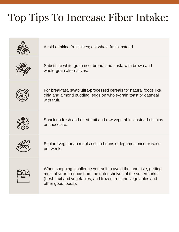## Top Tips To Increase Fiber Intake: